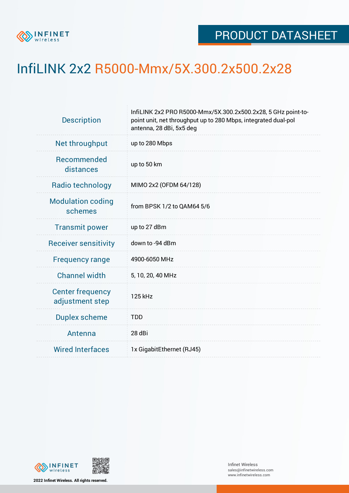

## InfiLINK 2x2 R5000-Mmx/5X.300.2x500.2x28

| InfiLINK 2x2 PRO R5000-Mmx/5X.300.2x500.2x28, 5 GHz point-to-<br>point unit, net throughput up to 280 Mbps, integrated dual-pol<br>antenna, 28 dBi, 5x5 deg |  |  |  |  |
|-------------------------------------------------------------------------------------------------------------------------------------------------------------|--|--|--|--|
| up to 280 Mbps                                                                                                                                              |  |  |  |  |
| up to 50 km                                                                                                                                                 |  |  |  |  |
| MIMO 2x2 (OFDM 64/128)                                                                                                                                      |  |  |  |  |
| from BPSK 1/2 to QAM64 5/6                                                                                                                                  |  |  |  |  |
| up to 27 dBm                                                                                                                                                |  |  |  |  |
| down to -94 dBm                                                                                                                                             |  |  |  |  |
| 4900-6050 MHz                                                                                                                                               |  |  |  |  |
| 5, 10, 20, 40 MHz                                                                                                                                           |  |  |  |  |
| 125 kHz                                                                                                                                                     |  |  |  |  |
| <b>TDD</b>                                                                                                                                                  |  |  |  |  |
| 28 dBi                                                                                                                                                      |  |  |  |  |
| 1x GigabitEthernet (RJ45)                                                                                                                                   |  |  |  |  |
|                                                                                                                                                             |  |  |  |  |



**2022 Infinet Wireless. All rights reserved.**

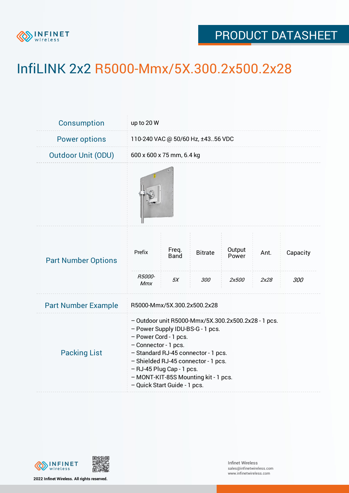

## PRODUCT DATASHEET

## InfiLINK 2x2 R5000-Mmx/5X.300.2x500.2x28

| <b>Consumption</b>         | up to 20 W                                                                                                                                                                                                                                                                                                                  |                            |                       |                          |              |                 |
|----------------------------|-----------------------------------------------------------------------------------------------------------------------------------------------------------------------------------------------------------------------------------------------------------------------------------------------------------------------------|----------------------------|-----------------------|--------------------------|--------------|-----------------|
| <b>Power options</b>       | 110-240 VAC @ 50/60 Hz, ±4356 VDC                                                                                                                                                                                                                                                                                           |                            |                       |                          |              |                 |
| <b>Outdoor Unit (ODU)</b>  | 600 x 600 x 75 mm, 6.4 kg                                                                                                                                                                                                                                                                                                   |                            |                       |                          |              |                 |
|                            |                                                                                                                                                                                                                                                                                                                             |                            |                       |                          |              |                 |
| <b>Part Number Options</b> | Prefix<br>R5000-<br>Mmx                                                                                                                                                                                                                                                                                                     | Freq.<br><b>Band</b><br>5X | <b>Bitrate</b><br>300 | Output<br>Power<br>2x500 | Ant.<br>2x28 | Capacity<br>300 |
| <b>Part Number Example</b> | R5000-Mmx/5X.300.2x500.2x28                                                                                                                                                                                                                                                                                                 |                            |                       |                          |              |                 |
| <b>Packing List</b>        | - Outdoor unit R5000-Mmx/5X.300.2x500.2x28 - 1 pcs.<br>- Power Supply IDU-BS-G - 1 pcs.<br>- Power Cord - 1 pcs.<br>- Connector - 1 pcs.<br>- Standard RJ-45 connector - 1 pcs.<br>- Shielded RJ-45 connector - 1 pcs.<br>- RJ-45 Plug Cap - 1 pcs.<br>- MONT-KIT-85S Mounting kit - 1 pcs.<br>- Quick Start Guide - 1 pcs. |                            |                       |                          |              |                 |



**2022 Infinet Wireless. All rights reserved.**

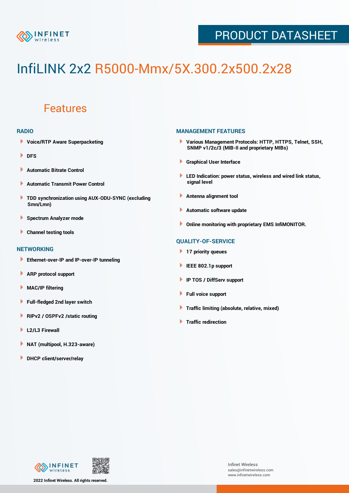

## PRODUCT DATASHEET

# InfiLINK 2x2 R5000-Mmx/5X.300.2x500.2x28

### Features

#### **RADIO**

- **Voice/RTP Aware Superpacketing**
- ٠ **DFS**
- **Automatic Bitrate Control** Þ
- Þ **Automatic Transmit Power Control**
- ь **TDD synchronization using AUX-ODU-SYNC (excluding Smn/Lmn)**
- **Spectrum Analyzer mode** ۰
- **Channel testing tools** ١

#### **NETWORKING**

- **Ethernet-over-IP and IP-over-IP tunneling**
- **ARP protocol support** ٠
- ۱ **MAC/IP filtering**
- Þ **Full-fledged 2nd layer switch**
- Þ **RIPv2 / OSPFv2 /static routing**
- **L2/L3 Firewall** Þ
- **NAT (multipool, H.323-aware)** Þ
- Þ **DHCP client/server/relay**

#### **MANAGEMENT FEATURES**

- **Various Management Protocols: HTTP, HTTPS, Telnet, SSH, SNMP v1/2c/3 (MIB-II and proprietary MIBs)**
- **Graphical User Interface**
- **LED Indication: power status, wireless and wired link status, signal level**
- **Antenna alignment tool**
- ٠ **Automatic software update**
- **Online monitoring with proprietary EMS InfiMONITOR.**

#### **QUALITY-OF-SERVICE**

- **17 priority queues**
- **IEEE 802.1p support**
- **IP TOS / DiffServ support**
- ٠ **Full voice support**
- **Traffic limiting (absolute, relative, mixed)** ٠
- **Traffic redirection**